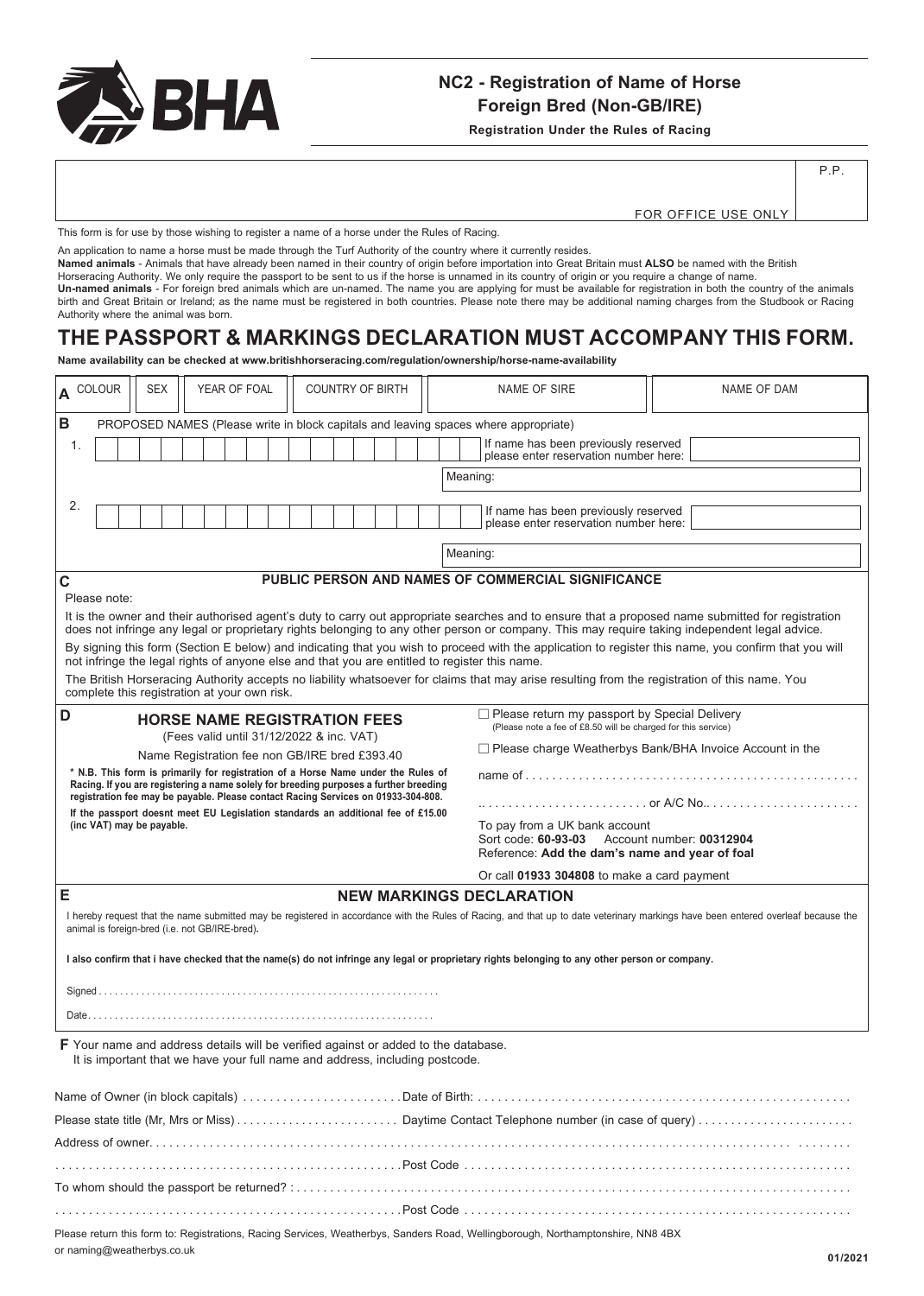

### **NC2 - Registration of Name of Horse Foreign Bred (Non-GB/IRE)**

**Registration Under the Rules of Racing**

P.P.

FOR OFFICE USE ONLY

This form is for use by those wishing to register a name of a horse under the Rules of Racing.

An application to name a horse must be made through the Turf Authority of the country where it currently resides.

**Named animals** - Animals that have already been named in their country of origin before importation into Great Britain must **ALSO** be named with the British Horseracing Authority. We only require the passport to be sent to us if the horse is unnamed in its country of origin or you require a change of name.

**Un-named animals** - For foreign bred animals which are un-named. The name you are applying for must be available for registration in both the country of the animals birth and Great Britain or Ireland; as the name must be registered in both countries. Please note there may be additional naming charges from the Studbook or Racing Authority where the animal was born.

## **THE PASSPORT & MARKINGS DECLARATION MUST ACCOMPANY THIS FORM.**

**Name availability can be checked at www.britishhorseracing.com/regulation/ownership/horse-name-availability**

| A COLOUR                                                                                                                                                                                                                                                                                           |  | <b>SEX</b>                                                                                                                                                                 |  | YEAR OF FOAL |  |  |  |  | <b>COUNTRY OF BIRTH</b> |                                                                               |                                                                               |  | <b>NAME OF SIRE</b>                                                                                                                           | <b>NAME OF DAM</b>                                                                                                                                                                |  |
|----------------------------------------------------------------------------------------------------------------------------------------------------------------------------------------------------------------------------------------------------------------------------------------------------|--|----------------------------------------------------------------------------------------------------------------------------------------------------------------------------|--|--------------|--|--|--|--|-------------------------|-------------------------------------------------------------------------------|-------------------------------------------------------------------------------|--|-----------------------------------------------------------------------------------------------------------------------------------------------|-----------------------------------------------------------------------------------------------------------------------------------------------------------------------------------|--|
| B<br>PROPOSED NAMES (Please write in block capitals and leaving spaces where appropriate)                                                                                                                                                                                                          |  |                                                                                                                                                                            |  |              |  |  |  |  |                         |                                                                               |                                                                               |  |                                                                                                                                               |                                                                                                                                                                                   |  |
| 1.                                                                                                                                                                                                                                                                                                 |  |                                                                                                                                                                            |  |              |  |  |  |  |                         | If name has been previously reserved<br>please enter reservation number here: |                                                                               |  |                                                                                                                                               |                                                                                                                                                                                   |  |
| Meaning:                                                                                                                                                                                                                                                                                           |  |                                                                                                                                                                            |  |              |  |  |  |  |                         |                                                                               |                                                                               |  |                                                                                                                                               |                                                                                                                                                                                   |  |
| 2.                                                                                                                                                                                                                                                                                                 |  |                                                                                                                                                                            |  |              |  |  |  |  |                         |                                                                               |                                                                               |  |                                                                                                                                               |                                                                                                                                                                                   |  |
|                                                                                                                                                                                                                                                                                                    |  |                                                                                                                                                                            |  |              |  |  |  |  |                         |                                                                               | If name has been previously reserved<br>please enter reservation number here. |  |                                                                                                                                               |                                                                                                                                                                                   |  |
| Meaning:                                                                                                                                                                                                                                                                                           |  |                                                                                                                                                                            |  |              |  |  |  |  |                         |                                                                               |                                                                               |  |                                                                                                                                               |                                                                                                                                                                                   |  |
|                                                                                                                                                                                                                                                                                                    |  |                                                                                                                                                                            |  |              |  |  |  |  |                         |                                                                               |                                                                               |  |                                                                                                                                               |                                                                                                                                                                                   |  |
| PUBLIC PERSON AND NAMES OF COMMERCIAL SIGNIFICANCE<br>C                                                                                                                                                                                                                                            |  |                                                                                                                                                                            |  |              |  |  |  |  |                         |                                                                               |                                                                               |  |                                                                                                                                               |                                                                                                                                                                                   |  |
| Please note:                                                                                                                                                                                                                                                                                       |  |                                                                                                                                                                            |  |              |  |  |  |  |                         |                                                                               |                                                                               |  |                                                                                                                                               |                                                                                                                                                                                   |  |
| It is the owner and their authorised agent's duty to carry out appropriate searches and to ensure that a proposed name submitted for registration<br>does not infringe any legal or proprietary rights belonging to any other person or company. This may require taking independent legal advice. |  |                                                                                                                                                                            |  |              |  |  |  |  |                         |                                                                               |                                                                               |  |                                                                                                                                               |                                                                                                                                                                                   |  |
| By signing this form (Section E below) and indicating that you wish to proceed with the application to register this name, you confirm that you will                                                                                                                                               |  |                                                                                                                                                                            |  |              |  |  |  |  |                         |                                                                               |                                                                               |  |                                                                                                                                               |                                                                                                                                                                                   |  |
| not infringe the legal rights of anyone else and that you are entitled to register this name.                                                                                                                                                                                                      |  |                                                                                                                                                                            |  |              |  |  |  |  |                         |                                                                               |                                                                               |  |                                                                                                                                               |                                                                                                                                                                                   |  |
| The British Horseracing Authority accepts no liability whatsoever for claims that may arise resulting from the registration of this name. You<br>complete this registration at your own risk.                                                                                                      |  |                                                                                                                                                                            |  |              |  |  |  |  |                         |                                                                               |                                                                               |  |                                                                                                                                               |                                                                                                                                                                                   |  |
| $\Box$ Please return my passport by Special Delivery<br>D<br><b>HORSE NAME REGISTRATION FEES</b>                                                                                                                                                                                                   |  |                                                                                                                                                                            |  |              |  |  |  |  |                         |                                                                               |                                                                               |  |                                                                                                                                               |                                                                                                                                                                                   |  |
| (Fees valid until 31/12/2022 & inc. VAT)                                                                                                                                                                                                                                                           |  |                                                                                                                                                                            |  |              |  |  |  |  |                         | (Please note a fee of £8.50 will be charged for this service)                 |                                                                               |  |                                                                                                                                               |                                                                                                                                                                                   |  |
| □ Please charge Weatherbys Bank/BHA Invoice Account in the<br>Name Registration fee non GB/IRE bred £393.40                                                                                                                                                                                        |  |                                                                                                                                                                            |  |              |  |  |  |  |                         |                                                                               |                                                                               |  |                                                                                                                                               |                                                                                                                                                                                   |  |
|                                                                                                                                                                                                                                                                                                    |  | * N.B. This form is primarily for registration of a Horse Name under the Rules of<br>Racing. If you are registering a name solely for breeding purposes a further breeding |  |              |  |  |  |  |                         |                                                                               |                                                                               |  |                                                                                                                                               |                                                                                                                                                                                   |  |
|                                                                                                                                                                                                                                                                                                    |  | registration fee may be payable. Please contact Racing Services on 01933-304-808.                                                                                          |  |              |  |  |  |  |                         |                                                                               |                                                                               |  |                                                                                                                                               |                                                                                                                                                                                   |  |
|                                                                                                                                                                                                                                                                                                    |  | If the passport doesnt meet EU Legislation standards an additional fee of £15.00<br>(inc VAT) may be payable.                                                              |  |              |  |  |  |  |                         |                                                                               |                                                                               |  | To pay from a UK bank account                                                                                                                 |                                                                                                                                                                                   |  |
|                                                                                                                                                                                                                                                                                                    |  |                                                                                                                                                                            |  |              |  |  |  |  |                         |                                                                               |                                                                               |  | Sort code: 60-93-03<br>Account number: 00312904                                                                                               |                                                                                                                                                                                   |  |
|                                                                                                                                                                                                                                                                                                    |  |                                                                                                                                                                            |  |              |  |  |  |  |                         |                                                                               |                                                                               |  | Reference: Add the dam's name and year of foal                                                                                                |                                                                                                                                                                                   |  |
|                                                                                                                                                                                                                                                                                                    |  |                                                                                                                                                                            |  |              |  |  |  |  |                         |                                                                               |                                                                               |  | Or call 01933 304808 to make a card payment                                                                                                   |                                                                                                                                                                                   |  |
| E                                                                                                                                                                                                                                                                                                  |  |                                                                                                                                                                            |  |              |  |  |  |  |                         |                                                                               |                                                                               |  | <b>NEW MARKINGS DECLARATION</b>                                                                                                               |                                                                                                                                                                                   |  |
|                                                                                                                                                                                                                                                                                                    |  | animal is foreign-bred (i.e. not GB/IRE-bred).                                                                                                                             |  |              |  |  |  |  |                         |                                                                               |                                                                               |  |                                                                                                                                               | I hereby request that the name submitted may be registered in accordance with the Rules of Racing, and that up to date veterinary markings have been entered overleaf because the |  |
|                                                                                                                                                                                                                                                                                                    |  |                                                                                                                                                                            |  |              |  |  |  |  |                         |                                                                               |                                                                               |  |                                                                                                                                               |                                                                                                                                                                                   |  |
|                                                                                                                                                                                                                                                                                                    |  |                                                                                                                                                                            |  |              |  |  |  |  |                         |                                                                               |                                                                               |  | I also confirm that i have checked that the name(s) do not infringe any legal or proprietary rights belonging to any other person or company. |                                                                                                                                                                                   |  |
|                                                                                                                                                                                                                                                                                                    |  |                                                                                                                                                                            |  |              |  |  |  |  |                         |                                                                               |                                                                               |  |                                                                                                                                               |                                                                                                                                                                                   |  |
|                                                                                                                                                                                                                                                                                                    |  |                                                                                                                                                                            |  |              |  |  |  |  |                         |                                                                               |                                                                               |  |                                                                                                                                               |                                                                                                                                                                                   |  |
| <b>F</b> Your name and address details will be verified against or added to the database.                                                                                                                                                                                                          |  |                                                                                                                                                                            |  |              |  |  |  |  |                         |                                                                               |                                                                               |  |                                                                                                                                               |                                                                                                                                                                                   |  |
|                                                                                                                                                                                                                                                                                                    |  | It is important that we have your full name and address, including postcode.                                                                                               |  |              |  |  |  |  |                         |                                                                               |                                                                               |  |                                                                                                                                               |                                                                                                                                                                                   |  |
|                                                                                                                                                                                                                                                                                                    |  |                                                                                                                                                                            |  |              |  |  |  |  |                         |                                                                               |                                                                               |  |                                                                                                                                               |                                                                                                                                                                                   |  |
|                                                                                                                                                                                                                                                                                                    |  |                                                                                                                                                                            |  |              |  |  |  |  |                         |                                                                               |                                                                               |  |                                                                                                                                               |                                                                                                                                                                                   |  |
|                                                                                                                                                                                                                                                                                                    |  |                                                                                                                                                                            |  |              |  |  |  |  |                         |                                                                               |                                                                               |  |                                                                                                                                               |                                                                                                                                                                                   |  |
|                                                                                                                                                                                                                                                                                                    |  |                                                                                                                                                                            |  |              |  |  |  |  |                         |                                                                               |                                                                               |  |                                                                                                                                               |                                                                                                                                                                                   |  |
|                                                                                                                                                                                                                                                                                                    |  |                                                                                                                                                                            |  |              |  |  |  |  |                         |                                                                               |                                                                               |  |                                                                                                                                               |                                                                                                                                                                                   |  |
|                                                                                                                                                                                                                                                                                                    |  |                                                                                                                                                                            |  |              |  |  |  |  |                         |                                                                               |                                                                               |  |                                                                                                                                               |                                                                                                                                                                                   |  |
|                                                                                                                                                                                                                                                                                                    |  |                                                                                                                                                                            |  |              |  |  |  |  |                         |                                                                               |                                                                               |  |                                                                                                                                               |                                                                                                                                                                                   |  |
|                                                                                                                                                                                                                                                                                                    |  |                                                                                                                                                                            |  |              |  |  |  |  |                         |                                                                               |                                                                               |  |                                                                                                                                               |                                                                                                                                                                                   |  |

Please return this form to: Registrations, Racing Services, Weatherbys, Sanders Road, Wellingborough, Northamptonshire, NN8 4BX or naming@weatherbys.co.uk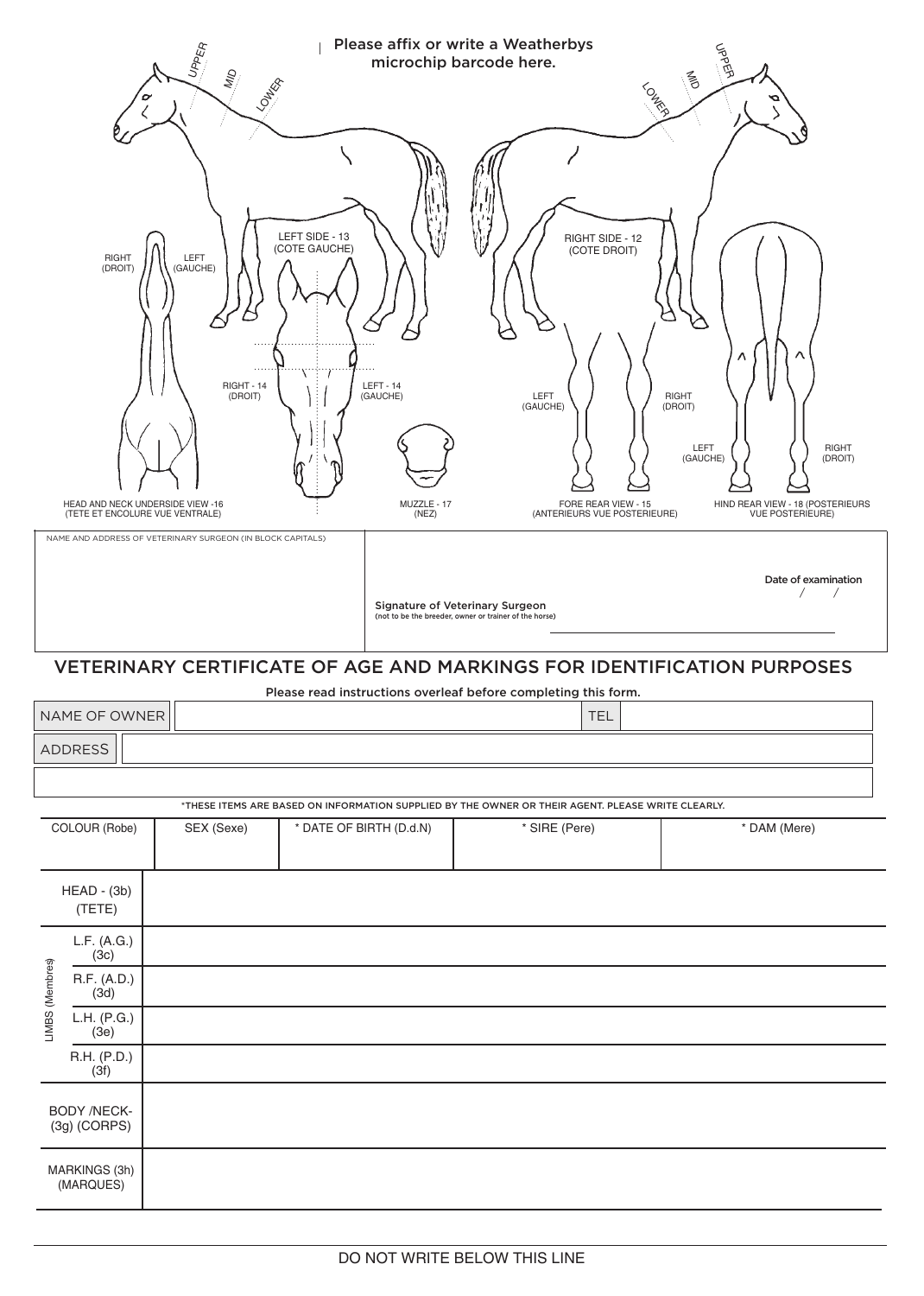|                                                                                                                                                                                              |                                                                                         | UPPER<br>ain<br><b>LONDER</b>             |                                                |                                                 | Please affix or write a Weatherbys<br>microchip barcode here.                                                      | LONDES                                                                                 | <b>UPPER</b><br>M<br>Ο                                                                                                         |  |  |  |
|----------------------------------------------------------------------------------------------------------------------------------------------------------------------------------------------|-----------------------------------------------------------------------------------------|-------------------------------------------|------------------------------------------------|-------------------------------------------------|--------------------------------------------------------------------------------------------------------------------|----------------------------------------------------------------------------------------|--------------------------------------------------------------------------------------------------------------------------------|--|--|--|
|                                                                                                                                                                                              | RIGHT<br>(DROIT)<br>HEAD AND NECK UNDERSIDE VIEW -16<br>(TETE ET ENCOLURE VUE VENTRALE) | LEFT<br>(GAUCHE)<br>RIGHT - 14<br>(DROIT) | LEFT SIDE - 13<br>(COTE GAUCHE)<br>Î<br>i<br>I | $LEFT - 14$<br>(GAUCHE)<br>MUZZLE - 17<br>(NEZ) | LEFT<br>(GAUCHE)                                                                                                   | RIGHT SIDE - 12<br>(COTE DROIT)<br>FORE REAR VIEW - 15<br>(ANTERIEURS VUE POSTERIEURE) | <b>RIGHT</b><br>(DROIT)<br>LEFT<br>RIGHT<br>(GAUCHE)<br>(DROIT)<br>HIND REAR VIEW - 18 (POSTERIEURS<br><b>VUE POSTERIEURE)</b> |  |  |  |
| NAME AND ADDRESS OF VETERINARY SURGEON (IN BLOCK CAPITALS)<br>Date of examination<br>$\sqrt{2}$<br>Signature of Veterinary Surgeon<br>(not to be the breeder, owner or trainer of the horse) |                                                                                         |                                           |                                                |                                                 |                                                                                                                    |                                                                                        |                                                                                                                                |  |  |  |
|                                                                                                                                                                                              | VETERINARY CERTIFICATE OF AGE AND MARKINGS FOR IDENTIFICATION PURPOSES                  |                                           |                                                |                                                 |                                                                                                                    |                                                                                        |                                                                                                                                |  |  |  |
| Please read instructions overleaf before completing this form.<br>NAME OF OWNER<br><b>TEL</b>                                                                                                |                                                                                         |                                           |                                                |                                                 |                                                                                                                    |                                                                                        |                                                                                                                                |  |  |  |
| <b>ADDRESS</b>                                                                                                                                                                               |                                                                                         |                                           |                                                |                                                 |                                                                                                                    |                                                                                        |                                                                                                                                |  |  |  |
|                                                                                                                                                                                              |                                                                                         |                                           |                                                |                                                 |                                                                                                                    |                                                                                        |                                                                                                                                |  |  |  |
|                                                                                                                                                                                              | COLOUR (Robe)                                                                           | SEX (Sexe)                                | * DATE OF BIRTH (D.d.N)                        |                                                 | *THESE ITEMS ARE BASED ON INFORMATION SUPPLIED BY THE OWNER OR THEIR AGENT. PLEASE WRITE CLEARLY.<br>* SIRE (Pere) |                                                                                        | * DAM (Mere)                                                                                                                   |  |  |  |
|                                                                                                                                                                                              |                                                                                         |                                           |                                                |                                                 |                                                                                                                    |                                                                                        |                                                                                                                                |  |  |  |
|                                                                                                                                                                                              | $HEAD - (3b)$<br>(TETE)                                                                 |                                           |                                                |                                                 |                                                                                                                    |                                                                                        |                                                                                                                                |  |  |  |
| LIMBS (Membres)                                                                                                                                                                              | L.F. (A.G.)<br>(3c)                                                                     |                                           |                                                |                                                 |                                                                                                                    |                                                                                        |                                                                                                                                |  |  |  |
|                                                                                                                                                                                              | R.F. (A.D.)<br>(3d)                                                                     |                                           |                                                |                                                 |                                                                                                                    |                                                                                        |                                                                                                                                |  |  |  |
|                                                                                                                                                                                              | L.H. (P.G.)<br>(3e)                                                                     |                                           |                                                |                                                 |                                                                                                                    |                                                                                        |                                                                                                                                |  |  |  |
|                                                                                                                                                                                              | R.H. (P.D.)<br>(3f)                                                                     |                                           |                                                |                                                 |                                                                                                                    |                                                                                        |                                                                                                                                |  |  |  |
|                                                                                                                                                                                              | BODY /NECK-<br>$(3g)$ (CORPS)                                                           |                                           |                                                |                                                 |                                                                                                                    |                                                                                        |                                                                                                                                |  |  |  |
|                                                                                                                                                                                              | MARKINGS (3h)<br>(MARQUES)                                                              |                                           |                                                |                                                 |                                                                                                                    |                                                                                        |                                                                                                                                |  |  |  |